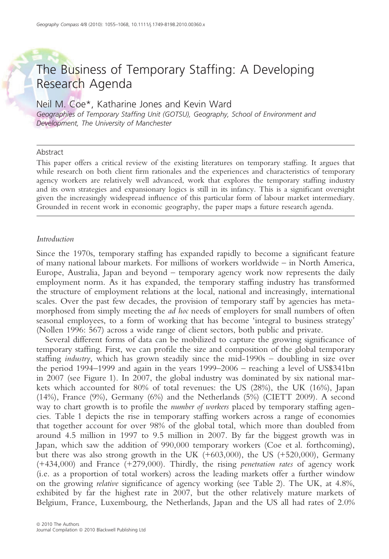# The Business of Temporary Staffing: A Developing Research Agenda

Neil M. Coe\*, Katharine Jones and Kevin Ward Geographies of Temporary Staffing Unit (GOTSU), Geography, School of Environment and Development, The University of Manchester

### Abstract

This paper offers a critical review of the existing literatures on temporary staffing. It argues that while research on both client firm rationales and the experiences and characteristics of temporary agency workers are relatively well advanced, work that explores the temporary staffing industry and its own strategies and expansionary logics is still in its infancy. This is a significant oversight given the increasingly widespread influence of this particular form of labour market intermediary. Grounded in recent work in economic geography, the paper maps a future research agenda.

#### Introduction

Since the 1970s, temporary staffing has expanded rapidly to become a significant feature of many national labour markets. For millions of workers worldwide – in North America, Europe, Australia, Japan and beyond – temporary agency work now represents the daily employment norm. As it has expanded, the temporary staffing industry has transformed the structure of employment relations at the local, national and increasingly, international scales. Over the past few decades, the provision of temporary staff by agencies has metamorphosed from simply meeting the *ad hoc* needs of employers for small numbers of often seasonal employees, to a form of working that has become 'integral to business strategy' (Nollen 1996: 567) across a wide range of client sectors, both public and private.

Several different forms of data can be mobilized to capture the growing significance of temporary staffing. First, we can profile the size and composition of the global temporary staffing industry, which has grown steadily since the mid-1990s – doubling in size over the period 1994–1999 and again in the years 1999–2006 – reaching a level of US\$341bn in 2007 (see Figure 1). In 2007, the global industry was dominated by six national markets which accounted for 80% of total revenues: the US (28%), the UK (16%), Japan (14%), France (9%), Germany (6%) and the Netherlands (5%) (CIETT 2009). A second way to chart growth is to profile the *number of workers* placed by temporary staffing agencies. Table 1 depicts the rise in temporary staffing workers across a range of economies that together account for over 98% of the global total, which more than doubled from around 4.5 million in 1997 to 9.5 million in 2007. By far the biggest growth was in Japan, which saw the addition of 990,000 temporary workers (Coe et al. forthcoming), but there was also strong growth in the UK (+603,000), the US (+520,000), Germany (+434,000) and France (+279,000). Thirdly, the rising penetration rates of agency work (i.e. as a proportion of total workers) across the leading markets offer a further window on the growing relative significance of agency working (see Table 2). The UK, at 4.8%, exhibited by far the highest rate in 2007, but the other relatively mature markets of Belgium, France, Luxembourg, the Netherlands, Japan and the US all had rates of 2.0%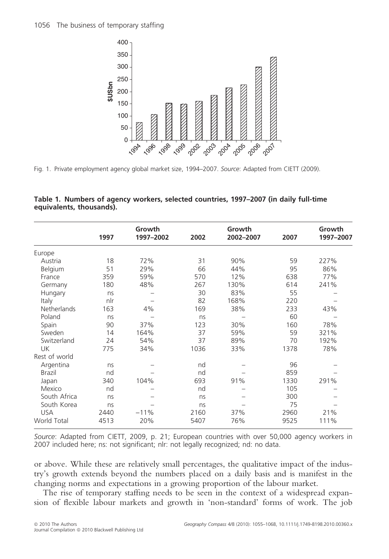

Fig. 1. Private employment agency global market size, 1994–2007. Source: Adapted from CIETT (2009).

|                          |  |  | Table 1. Numbers of agency workers, selected countries, 1997–2007 (in daily full-time |  |  |
|--------------------------|--|--|---------------------------------------------------------------------------------------|--|--|
| equivalents, thousands). |  |  |                                                                                       |  |  |

|               | 1997 | Growth<br>1997-2002 | 2002 | Growth<br>2002-2007 | 2007 | Growth<br>1997-2007 |
|---------------|------|---------------------|------|---------------------|------|---------------------|
| Europe        |      |                     |      |                     |      |                     |
| Austria       | 18   | 72%                 | 31   | 90%                 | 59   | 227%                |
| Belgium       | 51   | 29%                 | 66   | 44%                 | 95   | 86%                 |
| France        | 359  | 59%                 | 570  | 12%                 | 638  | 77%                 |
| Germany       | 180  | 48%                 | 267  | 130%                | 614  | 241%                |
| Hungary       | ns   |                     | 30   | 83%                 | 55   |                     |
| Italy         | nlr  |                     | 82   | 168%                | 220  |                     |
| Netherlands   | 163  | 4%                  | 169  | 38%                 | 233  | 43%                 |
| Poland        | ns   |                     | ns   |                     | 60   |                     |
| Spain         | 90   | 37%                 | 123  | 30%                 | 160  | 78%                 |
| Sweden        | 14   | 164%                | 37   | 59%                 | 59   | 321%                |
| Switzerland   | 24   | 54%                 | 37   | 89%                 | 70   | 192%                |
| <b>UK</b>     | 775  | 34%                 | 1036 | 33%                 | 1378 | 78%                 |
| Rest of world |      |                     |      |                     |      |                     |
| Argentina     | ns   |                     | nd   |                     | 96   |                     |
| Brazil        | nd   |                     | nd   |                     | 859  |                     |
| Japan         | 340  | 104%                | 693  | 91%                 | 1330 | 291%                |
| Mexico        | nd   |                     | nd   |                     | 105  |                     |
| South Africa  | ns   |                     | ns   |                     | 300  |                     |
| South Korea   | ns   |                     | ns   |                     | 75   |                     |
| <b>USA</b>    | 2440 | $-11%$              | 2160 | 37%                 | 2960 | 21%                 |
| World Total   | 4513 | 20%                 | 5407 | 76%                 | 9525 | 111%                |

Source: Adapted from CIETT, 2009, p. 21; European countries with over 50,000 agency workers in 2007 included here; ns: not significant; nlr: not legally recognized; nd: no data.

or above. While these are relatively small percentages, the qualitative impact of the industry's growth extends beyond the numbers placed on a daily basis and is manifest in the changing norms and expectations in a growing proportion of the labour market.

The rise of temporary staffing needs to be seen in the context of a widespread expansion of flexible labour markets and growth in 'non-standard' forms of work. The job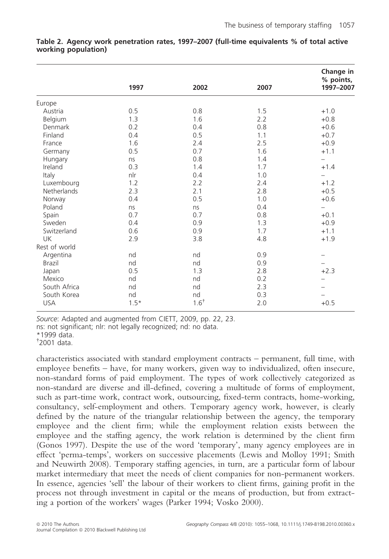|               |        |                 |      | Change in<br>% points,   |
|---------------|--------|-----------------|------|--------------------------|
|               | 1997   | 2002            | 2007 | 1997-2007                |
| Europe        |        |                 |      |                          |
| Austria       | 0.5    | 0.8             | 1.5  | $+1.0$                   |
| Belgium       | 1.3    | 1.6             | 2.2  | $+0.8$                   |
| Denmark       | 0.2    | 0.4             | 0.8  | $+0.6$                   |
| Finland       | 0.4    | 0.5             | 1.1  | $+0.7$                   |
| France        | 1.6    | 2.4             | 2.5  | $+0.9$                   |
| Germany       | 0.5    | 0.7             | 1.6  | $+1.1$                   |
| Hungary       | ns     | 0.8             | 1.4  |                          |
| Ireland       | 0.3    | 1.4             | 1.7  | $+1.4$                   |
| Italy         | nlr    | 0.4             | 1.0  | -                        |
| Luxembourg    | 1.2    | 2.2             | 2.4  | $+1.2$                   |
| Netherlands   | 2.3    | 2.1             | 2.8  | $+0.5$                   |
| Norway        | 0.4    | 0.5             | 1.0  | $+0.6$                   |
| Poland        | ns     | ns              | 0.4  | $\overline{\phantom{0}}$ |
| Spain         | 0.7    | 0.7             | 0.8  | $+0.1$                   |
| Sweden        | 0.4    | 0.9             | 1.3  | $+0.9$                   |
| Switzerland   | 0.6    | 0.9             | 1.7  | $+1.1$                   |
| <b>UK</b>     | 2.9    | 3.8             | 4.8  | $+1.9$                   |
| Rest of world |        |                 |      |                          |
| Argentina     | nd     | nd              | 0.9  |                          |
| Brazil        | nd     | nd              | 0.9  |                          |
| Japan         | 0.5    | 1.3             | 2.8  | $+2.3$                   |
| Mexico        | nd     | nd              | 0.2  |                          |
| South Africa  | nd     | nd              | 2.3  |                          |
| South Korea   | nd     | nd              | 0.3  |                          |
| <b>USA</b>    | $1.5*$ | $1.6^{\dagger}$ | 2.0  | $+0.5$                   |

Table 2. Agency work penetration rates, 1997–2007 (full-time equivalents % of total active working population)

Source: Adapted and augmented from CIETT, 2009, pp. 22, 23.

ns: not significant; nlr: not legally recognized; nd: no data.

\*1999 data.

- 2001 data.

characteristics associated with standard employment contracts – permanent, full time, with employee benefits – have, for many workers, given way to individualized, often insecure, non-standard forms of paid employment. The types of work collectively categorized as non-standard are diverse and ill-defined, covering a multitude of forms of employment, such as part-time work, contract work, outsourcing, fixed-term contracts, home-working, consultancy, self-employment and others. Temporary agency work, however, is clearly defined by the nature of the triangular relationship between the agency, the temporary employee and the client firm; while the employment relation exists between the employee and the staffing agency, the work relation is determined by the client firm (Gonos 1997). Despite the use of the word 'temporary', many agency employees are in effect 'perma-temps', workers on successive placements (Lewis and Molloy 1991; Smith and Neuwirth 2008). Temporary staffing agencies, in turn, are a particular form of labour market intermediary that meet the needs of client companies for non-permanent workers. In essence, agencies 'sell' the labour of their workers to client firms, gaining profit in the process not through investment in capital or the means of production, but from extracting a portion of the workers' wages (Parker 1994; Vosko 2000).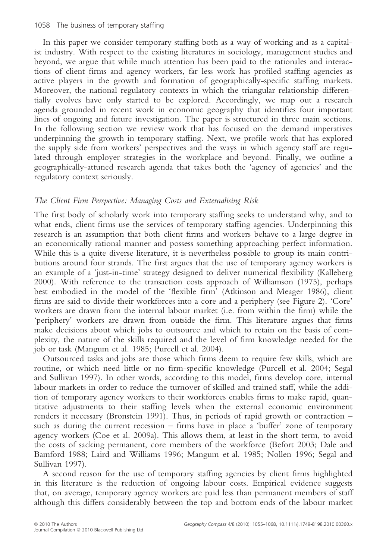In this paper we consider temporary staffing both as a way of working and as a capitalist industry. With respect to the existing literatures in sociology, management studies and beyond, we argue that while much attention has been paid to the rationales and interactions of client firms and agency workers, far less work has profiled staffing agencies as active players in the growth and formation of geographically-specific staffing markets. Moreover, the national regulatory contexts in which the triangular relationship differentially evolves have only started to be explored. Accordingly, we map out a research agenda grounded in recent work in economic geography that identifies four important lines of ongoing and future investigation. The paper is structured in three main sections. In the following section we review work that has focused on the demand imperatives underpinning the growth in temporary staffing. Next, we profile work that has explored the supply side from workers' perspectives and the ways in which agency staff are regulated through employer strategies in the workplace and beyond. Finally, we outline a geographically-attuned research agenda that takes both the 'agency of agencies' and the regulatory context seriously.

# The Client Firm Perspective: Managing Costs and Externalising Risk

The first body of scholarly work into temporary staffing seeks to understand why, and to what ends, client firms use the services of temporary staffing agencies. Underpinning this research is an assumption that both client firms and workers behave to a large degree in an economically rational manner and possess something approaching perfect information. While this is a quite diverse literature, it is nevertheless possible to group its main contributions around four strands. The first argues that the use of temporary agency workers is an example of a 'just-in-time' strategy designed to deliver numerical flexibility (Kalleberg 2000). With reference to the transaction costs approach of Williamson (1975), perhaps best embodied in the model of the 'flexible firm' (Atkinson and Meager 1986), client firms are said to divide their workforces into a core and a periphery (see Figure 2). 'Core' workers are drawn from the internal labour market (i.e. from within the firm) while the 'periphery' workers are drawn from outside the firm. This literature argues that firms make decisions about which jobs to outsource and which to retain on the basis of complexity, the nature of the skills required and the level of firm knowledge needed for the job or task (Mangum et al. 1985; Purcell et al. 2004).

Outsourced tasks and jobs are those which firms deem to require few skills, which are routine, or which need little or no firm-specific knowledge (Purcell et al. 2004; Segal and Sullivan 1997). In other words, according to this model, firms develop core, internal labour markets in order to reduce the turnover of skilled and trained staff, while the addition of temporary agency workers to their workforces enables firms to make rapid, quantitative adjustments to their staffing levels when the external economic environment renders it necessary (Bronstein 1991). Thus, in periods of rapid growth or contraction – such as during the current recession – firms have in place a 'buffer' zone of temporary agency workers (Coe et al. 2009a). This allows them, at least in the short term, to avoid the costs of sacking permanent, core members of the workforce (Befort 2003; Dale and Bamford 1988; Laird and Williams 1996; Mangum et al. 1985; Nollen 1996; Segal and Sullivan 1997).

A second reason for the use of temporary staffing agencies by client firms highlighted in this literature is the reduction of ongoing labour costs. Empirical evidence suggests that, on average, temporary agency workers are paid less than permanent members of staff although this differs considerably between the top and bottom ends of the labour market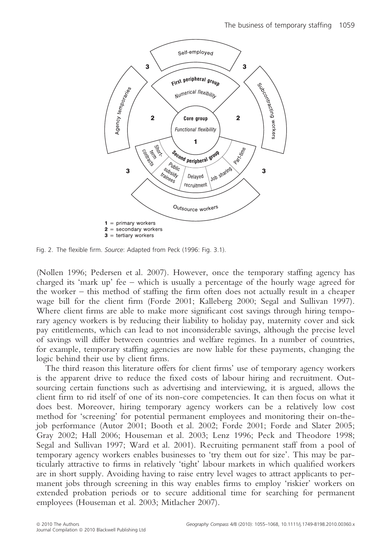

Fig. 2. The flexible firm. Source: Adapted from Peck (1996: Fig. 3.1).

(Nollen 1996; Pedersen et al. 2007). However, once the temporary staffing agency has charged its 'mark up' fee – which is usually a percentage of the hourly wage agreed for the worker – this method of staffing the firm often does not actually result in a cheaper wage bill for the client firm (Forde 2001; Kalleberg 2000; Segal and Sullivan 1997). Where client firms are able to make more significant cost savings through hiring temporary agency workers is by reducing their liability to holiday pay, maternity cover and sick pay entitlements, which can lead to not inconsiderable savings, although the precise level of savings will differ between countries and welfare regimes. In a number of countries, for example, temporary staffing agencies are now liable for these payments, changing the logic behind their use by client firms.

The third reason this literature offers for client firms' use of temporary agency workers is the apparent drive to reduce the fixed costs of labour hiring and recruitment. Outsourcing certain functions such as advertising and interviewing, it is argued, allows the client firm to rid itself of one of its non-core competencies. It can then focus on what it does best. Moreover, hiring temporary agency workers can be a relatively low cost method for 'screening' for potential permanent employees and monitoring their on-thejob performance (Autor 2001; Booth et al. 2002; Forde 2001; Forde and Slater 2005; Gray 2002; Hall 2006; Houseman et al. 2003; Lenz 1996; Peck and Theodore 1998; Segal and Sullivan 1997; Ward et al. 2001). Recruiting permanent staff from a pool of temporary agency workers enables businesses to 'try them out for size'. This may be particularly attractive to firms in relatively 'tight' labour markets in which qualified workers are in short supply. Avoiding having to raise entry level wages to attract applicants to permanent jobs through screening in this way enables firms to employ 'riskier' workers on extended probation periods or to secure additional time for searching for permanent employees (Houseman et al. 2003; Mitlacher 2007).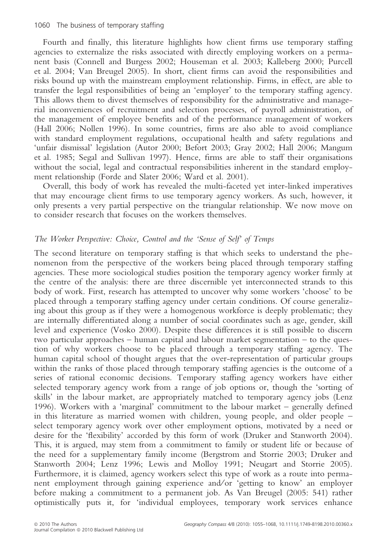Fourth and finally, this literature highlights how client firms use temporary staffing agencies to externalize the risks associated with directly employing workers on a permanent basis (Connell and Burgess 2002; Houseman et al. 2003; Kalleberg 2000; Purcell et al. 2004; Van Breugel 2005). In short, client firms can avoid the responsibilities and risks bound up with the mainstream employment relationship. Firms, in effect, are able to transfer the legal responsibilities of being an 'employer' to the temporary staffing agency. This allows them to divest themselves of responsibility for the administrative and managerial inconveniences of recruitment and selection processes, of payroll administration, of the management of employee benefits and of the performance management of workers (Hall 2006; Nollen 1996). In some countries, firms are also able to avoid compliance with standard employment regulations, occupational health and safety regulations and 'unfair dismissal' legislation (Autor 2000; Befort 2003; Gray 2002; Hall 2006; Mangum et al. 1985; Segal and Sullivan 1997). Hence, firms are able to staff their organisations without the social, legal and contractual responsibilities inherent in the standard employment relationship (Forde and Slater 2006; Ward et al. 2001).

Overall, this body of work has revealed the multi-faceted yet inter-linked imperatives that may encourage client firms to use temporary agency workers. As such, however, it only presents a very partial perspective on the triangular relationship. We now move on to consider research that focuses on the workers themselves.

# The Worker Perspective: Choice, Control and the 'Sense of Self' of Temps

The second literature on temporary staffing is that which seeks to understand the phenomenon from the perspective of the workers being placed through temporary staffing agencies. These more sociological studies position the temporary agency worker firmly at the centre of the analysis: there are three discernible yet interconnected strands to this body of work. First, research has attempted to uncover why some workers 'choose' to be placed through a temporary staffing agency under certain conditions. Of course generalizing about this group as if they were a homogenous workforce is deeply problematic; they are internally differentiated along a number of social coordinates such as age, gender, skill level and experience (Vosko 2000). Despite these differences it is still possible to discern two particular approaches – human capital and labour market segmentation – to the question of why workers choose to be placed through a temporary staffing agency. The human capital school of thought argues that the over-representation of particular groups within the ranks of those placed through temporary staffing agencies is the outcome of a series of rational economic decisions. Temporary staffing agency workers have either selected temporary agency work from a range of job options or, though the 'sorting of skills' in the labour market, are appropriately matched to temporary agency jobs (Lenz 1996). Workers with a 'marginal' commitment to the labour market – generally defined in this literature as married women with children, young people, and older people – select temporary agency work over other employment options, motivated by a need or desire for the 'flexibility' accorded by this form of work (Druker and Stanworth 2004). This, it is argued, may stem from a commitment to family or student life or because of the need for a supplementary family income (Bergstrom and Storrie 2003; Druker and Stanworth 2004; Lenz 1996; Lewis and Molloy 1991; Neugart and Storrie 2005). Furthermore, it is claimed, agency workers select this type of work as a route into permanent employment through gaining experience and/or 'getting to know' an employer before making a commitment to a permanent job. As Van Breugel (2005: 541) rather optimistically puts it, for 'individual employees, temporary work services enhance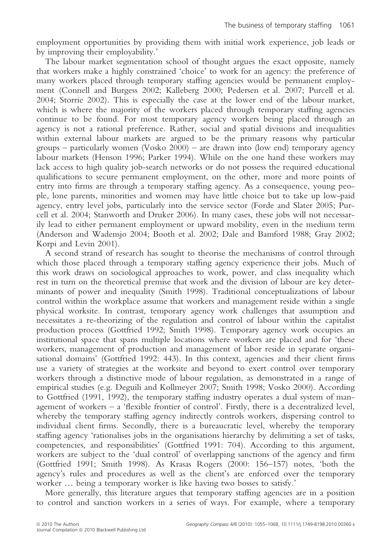employment opportunities by providing them with initial work experience, job leads or by improving their employability.'

The labour market segmentation school of thought argues the exact opposite, namely that workers make a highly constrained 'choice' to work for an agency: the preference of many workers placed through temporary staffing agencies would be permanent employment (Connell and Burgess 2002; Kalleberg 2000; Pedersen et al. 2007; Purcell et al. 2004; Storrie 2002). This is especially the case at the lower end of the labour market, which is where the majority of the workers placed through temporary staffing agencies continue to be found. For most temporary agency workers being placed through an agency is not a rational preference. Rather, social and spatial divisions and inequalities within external labour markets are argued to be the primary reasons why particular groups – particularly women (Vosko 2000) – are drawn into (low end) temporary agency labour markets (Henson 1996; Parker 1994). While on the one hand these workers may lack access to high quality job-search networks or do not possess the required educational qualifications to secure permanent employment, on the other, more and more points of entry into firms are through a temporary staffing agency. As a consequence, young people, lone parents, minorities and women may have little choice but to take up low-paid agency, entry level jobs, particularly into the service sector (Forde and Slater 2005; Purcell et al. 2004; Stanworth and Druker 2006). In many cases, these jobs will not necessarily lead to either permanent employment or upward mobility, even in the medium term (Anderson and Wadensjo 2004; Booth et al. 2002; Dale and Bamford 1988; Gray 2002; Korpi and Levin 2001).

A second strand of research has sought to theorise the mechanisms of control through which those placed through a temporary staffing agency experience their jobs. Much of this work draws on sociological approaches to work, power, and class inequality which rest in turn on the theoretical premise that work and the division of labour are key determinants of power and inequality (Smith 1998). Traditional conceptualizations of labour control within the workplace assume that workers and management reside within a single physical worksite. In contrast, temporary agency work challenges that assumption and necessitates a re-theorizing of the regulation and control of labour within the capitalist production process (Gottfried 1992; Smith 1998). Temporary agency work occupies an institutional space that spans multiple locations where workers are placed and for 'these workers, management of production and management of labor reside in separate organisational domains' (Gottfried 1992: 443). In this context, agencies and their client firms use a variety of strategies at the worksite and beyond to exert control over temporary workers through a distinctive mode of labour regulation, as demonstrated in a range of empirical studies (e.g. Deguili and Kollmeyer 2007; Smith 1998; Vosko 2000). According to Gottfried (1991, 1992), the temporary staffing industry operates a dual system of management of workers – a 'flexible frontier of control'. Firstly, there is a decentralized level, whereby the temporary staffing agency indirectly controls workers, dispersing control to individual client firms. Secondly, there is a bureaucratic level, whereby the temporary staffing agency 'rationalises jobs in the organisations hierarchy by delimiting a set of tasks, competencies, and responsibilities' (Gottfried 1991: 704). According to this argument, workers are subject to the 'dual control' of overlapping sanctions of the agency and firm (Gottfried 1991; Smith 1998). As Krasas Rogers (2000: 156–157) notes, 'both the agency's rules and procedures as well as the client's are enforced over the temporary worker … being a temporary worker is like having two bosses to satisfy.'

More generally, this literature argues that temporary staffing agencies are in a position to control and sanction workers in a series of ways. For example, where a temporary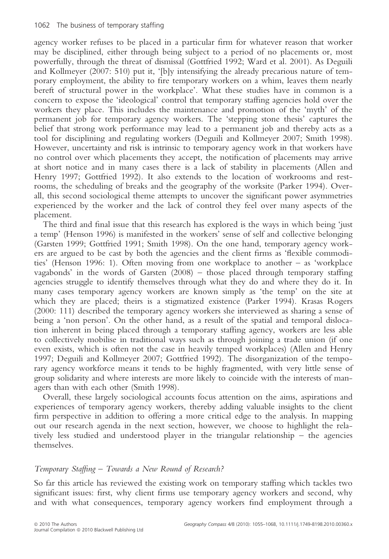agency worker refuses to be placed in a particular firm for whatever reason that worker may be disciplined, either through being subject to a period of no placements or, most powerfully, through the threat of dismissal (Gottfried 1992; Ward et al. 2001). As Deguili and Kollmeyer (2007: 510) put it, '[b]y intensifying the already precarious nature of temporary employment, the ability to fire temporary workers on a whim, leaves them nearly bereft of structural power in the workplace'. What these studies have in common is a concern to expose the 'ideological' control that temporary staffing agencies hold over the workers they place. This includes the maintenance and promotion of the 'myth' of the permanent job for temporary agency workers. The 'stepping stone thesis' captures the belief that strong work performance may lead to a permanent job and thereby acts as a tool for disciplining and regulating workers (Deguili and Kollmeyer 2007; Smith 1998). However, uncertainty and risk is intrinsic to temporary agency work in that workers have no control over which placements they accept, the notification of placements may arrive at short notice and in many cases there is a lack of stability in placements (Allen and Henry 1997; Gottfried 1992). It also extends to the location of workrooms and restrooms, the scheduling of breaks and the geography of the worksite (Parker 1994). Overall, this second sociological theme attempts to uncover the significant power asymmetries experienced by the worker and the lack of control they feel over many aspects of the placement.

The third and final issue that this research has explored is the ways in which being 'just a temp' (Henson 1996) is manifested in the workers' sense of self and collective belonging (Garsten 1999; Gottfried 1991; Smith 1998). On the one hand, temporary agency workers are argued to be cast by both the agencies and the client firms as 'flexible commodities' (Henson 1996: 1). Often moving from one workplace to another – as 'workplace vagabonds' in the words of Garsten (2008) – those placed through temporary staffing agencies struggle to identify themselves through what they do and where they do it. In many cases temporary agency workers are known simply as 'the temp' on the site at which they are placed; theirs is a stigmatized existence (Parker 1994). Krasas Rogers (2000: 111) described the temporary agency workers she interviewed as sharing a sense of being a 'non person'. On the other hand, as a result of the spatial and temporal dislocation inherent in being placed through a temporary staffing agency, workers are less able to collectively mobilise in traditional ways such as through joining a trade union (if one even exists, which is often not the case in heavily temped workplaces) (Allen and Henry 1997; Deguili and Kollmeyer 2007; Gottfried 1992). The disorganization of the temporary agency workforce means it tends to be highly fragmented, with very little sense of group solidarity and where interests are more likely to coincide with the interests of managers than with each other (Smith 1998).

Overall, these largely sociological accounts focus attention on the aims, aspirations and experiences of temporary agency workers, thereby adding valuable insights to the client firm perspective in addition to offering a more critical edge to the analysis. In mapping out our research agenda in the next section, however, we choose to highlight the relatively less studied and understood player in the triangular relationship – the agencies themselves.

# Temporary Staffing – Towards a New Round of Research?

So far this article has reviewed the existing work on temporary staffing which tackles two significant issues: first, why client firms use temporary agency workers and second, why and with what consequences, temporary agency workers find employment through a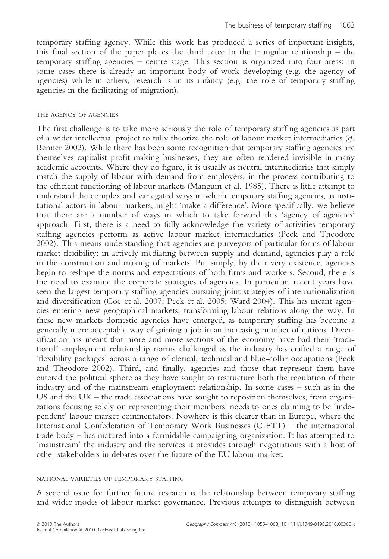temporary staffing agency. While this work has produced a series of important insights, this final section of the paper places the third actor in the triangular relationship – the temporary staffing agencies – centre stage. This section is organized into four areas: in some cases there is already an important body of work developing (e.g. the agency of agencies) while in others, research is in its infancy (e.g. the role of temporary staffing agencies in the facilitating of migration).

#### THE AGENCY OF AGENCIES

The first challenge is to take more seriously the role of temporary staffing agencies as part of a wider intellectual project to fully theorize the role of labour market intermediaries (cf. Benner 2002). While there has been some recognition that temporary staffing agencies are themselves capitalist profit-making businesses, they are often rendered invisible in many academic accounts. Where they do figure, it is usually as neutral intermediaries that simply match the supply of labour with demand from employers, in the process contributing to the efficient functioning of labour markets (Mangum et al. 1985). There is little attempt to understand the complex and variegated ways in which temporary staffing agencies, as institutional actors in labour markets, might 'make a difference'. More specifically, we believe that there are a number of ways in which to take forward this 'agency of agencies' approach. First, there is a need to fully acknowledge the variety of activities temporary staffing agencies perform as active labour market intermediaries (Peck and Theodore 2002). This means understanding that agencies are purveyors of particular forms of labour market flexibility: in actively mediating between supply and demand, agencies play a role in the construction and making of markets. Put simply, by their very existence, agencies begin to reshape the norms and expectations of both firms and workers. Second, there is the need to examine the corporate strategies of agencies. In particular, recent years have seen the largest temporary staffing agencies pursuing joint strategies of internationalization and diversification (Coe et al. 2007; Peck et al. 2005; Ward 2004). This has meant agencies entering new geographical markets, transforming labour relations along the way. In these new markets domestic agencies have emerged, as temporary staffing has become a generally more acceptable way of gaining a job in an increasing number of nations. Diversification has meant that more and more sections of the economy have had their 'traditional' employment relationship norms challenged as the industry has crafted a range of 'flexibility packages' across a range of clerical, technical and blue-collar occupations (Peck and Theodore 2002). Third, and finally, agencies and those that represent them have entered the political sphere as they have sought to restructure both the regulation of their industry and of the mainstream employment relationship. In some cases – such as in the US and the UK – the trade associations have sought to reposition themselves, from organizations focusing solely on representing their members' needs to ones claiming to be 'independent' labour market commentators. Nowhere is this clearer than in Europe, where the International Confederation of Temporary Work Businesses (CIETT) – the international trade body – has matured into a formidable campaigning organization. It has attempted to 'mainstream' the industry and the services it provides through negotiations with a host of other stakeholders in debates over the future of the EU labour market.

#### NATIONAL VARIETIES OF TEMPORARY STAFFING

A second issue for further future research is the relationship between temporary staffing and wider modes of labour market governance. Previous attempts to distinguish between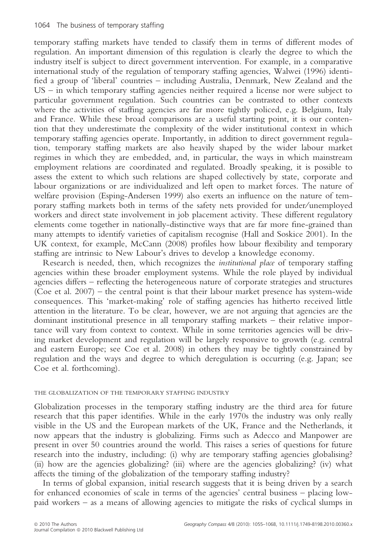temporary staffing markets have tended to classify them in terms of different modes of regulation. An important dimension of this regulation is clearly the degree to which the industry itself is subject to direct government intervention. For example, in a comparative international study of the regulation of temporary staffing agencies, Walwei (1996) identified a group of 'liberal' countries – including Australia, Denmark, New Zealand and the US – in which temporary staffing agencies neither required a license nor were subject to particular government regulation. Such countries can be contrasted to other contexts where the activities of staffing agencies are far more tightly policed, e.g. Belgium, Italy and France. While these broad comparisons are a useful starting point, it is our contention that they underestimate the complexity of the wider institutional context in which temporary staffing agencies operate. Importantly, in addition to direct government regulation, temporary staffing markets are also heavily shaped by the wider labour market regimes in which they are embedded, and, in particular, the ways in which mainstream employment relations are coordinated and regulated. Broadly speaking, it is possible to assess the extent to which such relations are shaped collectively by state, corporate and labour organizations or are individualized and left open to market forces. The nature of welfare provision (Esping-Andersen 1999) also exerts an influence on the nature of temporary staffing markets both in terms of the safety nets provided for under⁄unemployed workers and direct state involvement in job placement activity. These different regulatory elements come together in nationally-distinctive ways that are far more fine-grained than many attempts to identify varieties of capitalism recognise (Hall and Soskice 2001). In the UK context, for example, McCann (2008) profiles how labour flexibility and temporary staffing are intrinsic to New Labour's drives to develop a knowledge economy.

Research is needed, then, which recognizes the institutional place of temporary staffing agencies within these broader employment systems. While the role played by individual agencies differs – reflecting the heterogeneous nature of corporate strategies and structures (Coe et al. 2007) – the central point is that their labour market presence has system-wide consequences. This 'market-making' role of staffing agencies has hitherto received little attention in the literature. To be clear, however, we are not arguing that agencies are the dominant institutional presence in all temporary staffing markets – their relative importance will vary from context to context. While in some territories agencies will be driving market development and regulation will be largely responsive to growth (e.g. central and eastern Europe; see Coe et al. 2008) in others they may be tightly constrained by regulation and the ways and degree to which deregulation is occurring (e.g. Japan; see Coe et al. forthcoming).

## THE GLOBALIZATION OF THE TEMPORARY STAFFING INDUSTRY

Globalization processes in the temporary staffing industry are the third area for future research that this paper identifies. While in the early 1970s the industry was only really visible in the US and the European markets of the UK, France and the Netherlands, it now appears that the industry is globalizing. Firms such as Adecco and Manpower are present in over 50 countries around the world. This raises a series of questions for future research into the industry, including: (i) why are temporary staffing agencies globalising? (ii) how are the agencies globalizing? (iii) where are the agencies globalizing? (iv) what affects the timing of the globalization of the temporary staffing industry?

In terms of global expansion, initial research suggests that it is being driven by a search for enhanced economies of scale in terms of the agencies' central business – placing lowpaid workers – as a means of allowing agencies to mitigate the risks of cyclical slumps in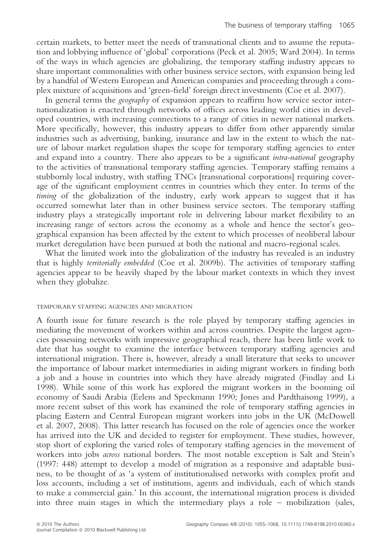certain markets, to better meet the needs of transnational clients and to assume the reputation and lobbying influence of 'global' corporations (Peck et al. 2005; Ward 2004). In terms of the ways in which agencies are globalizing, the temporary staffing industry appears to share important commonalities with other business service sectors, with expansion being led by a handful of Western European and American companies and proceeding through a complex mixture of acquisitions and 'green-field' foreign direct investments (Coe et al. 2007).

In general terms the geography of expansion appears to reaffirm how service sector internationalization is enacted through networks of offices across leading world cities in developed countries, with increasing connections to a range of cities in newer national markets. More specifically, however, this industry appears to differ from other apparently similar industries such as advertising, banking, insurance and law in the extent to which the nature of labour market regulation shapes the scope for temporary staffing agencies to enter and expand into a country. There also appears to be a significant intra-national geography to the activities of transnational temporary staffing agencies. Temporary staffing remains a stubbornly local industry, with staffing TNCs [transnational corporations] requiring coverage of the significant employment centres in countries which they enter. In terms of the timing of the globalization of the industry, early work appears to suggest that it has occurred somewhat later than in other business service sectors. The temporary staffing industry plays a strategically important role in delivering labour market flexibility to an increasing range of sectors across the economy as a whole and hence the sector's geographical expansion has been affected by the extent to which processes of neoliberal labour market deregulation have been pursued at both the national and macro-regional scales.

What the limited work into the globalization of the industry has revealed is an industry that is highly territorially embedded (Coe et al. 2009b). The activities of temporary staffing agencies appear to be heavily shaped by the labour market contexts in which they invest when they globalize.

#### TEMPORARY STAFFING AGENCIES AND MIGRATION

A fourth issue for future research is the role played by temporary staffing agencies in mediating the movement of workers within and across countries. Despite the largest agencies possessing networks with impressive geographical reach, there has been little work to date that has sought to examine the interface between temporary staffing agencies and international migration. There is, however, already a small literature that seeks to uncover the importance of labour market intermediaries in aiding migrant workers in finding both a job and a house in countries into which they have already migrated (Findlay and Li 1998). While some of this work has explored the migrant workers in the booming oil economy of Saudi Arabia (Eelens and Speckmann 1990; Jones and Pardthaisong 1999), a more recent subset of this work has examined the role of temporary staffing agencies in placing Eastern and Central European migrant workers into jobs in the UK (McDowell et al. 2007, 2008). This latter research has focused on the role of agencies once the worker has arrived into the UK and decided to register for employment. These studies, however, stop short of exploring the varied roles of temporary staffing agencies in the movement of workers into jobs across national borders. The most notable exception is Salt and Stein's (1997: 448) attempt to develop a model of migration as a responsive and adaptable business, to be thought of as 'a system of institutionalised networks with complex profit and loss accounts, including a set of institutions, agents and individuals, each of which stands to make a commercial gain.' In this account, the international migration process is divided into three main stages in which the intermediary plays a role – mobilization (sales,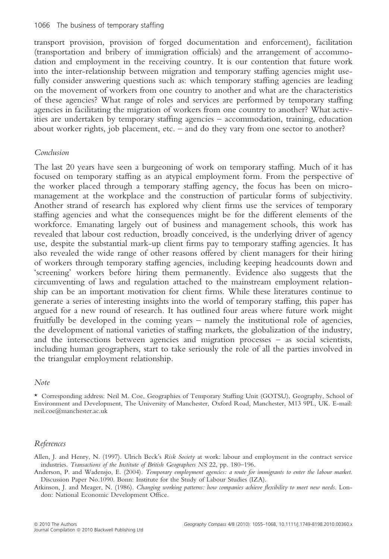transport provision, provision of forged documentation and enforcement), facilitation (transportation and bribery of immigration officials) and the arrangement of accommodation and employment in the receiving country. It is our contention that future work into the inter-relationship between migration and temporary staffing agencies might usefully consider answering questions such as: which temporary staffing agencies are leading on the movement of workers from one country to another and what are the characteristics of these agencies? What range of roles and services are performed by temporary staffing agencies in facilitating the migration of workers from one country to another? What activities are undertaken by temporary staffing agencies – accommodation, training, education about worker rights, job placement, etc. – and do they vary from one sector to another?

## Conclusion

The last 20 years have seen a burgeoning of work on temporary staffing. Much of it has focused on temporary staffing as an atypical employment form. From the perspective of the worker placed through a temporary staffing agency, the focus has been on micromanagement at the workplace and the construction of particular forms of subjectivity. Another strand of research has explored why client firms use the services of temporary staffing agencies and what the consequences might be for the different elements of the workforce. Emanating largely out of business and management schools, this work has revealed that labour cost reduction, broadly conceived, is the underlying driver of agency use, despite the substantial mark-up client firms pay to temporary staffing agencies. It has also revealed the wide range of other reasons offered by client managers for their hiring of workers through temporary staffing agencies, including keeping headcounts down and 'screening' workers before hiring them permanently. Evidence also suggests that the circumventing of laws and regulation attached to the mainstream employment relationship can be an important motivation for client firms. While these literatures continue to generate a series of interesting insights into the world of temporary staffing, this paper has argued for a new round of research. It has outlined four areas where future work might fruitfully be developed in the coming years – namely the institutional role of agencies, the development of national varieties of staffing markets, the globalization of the industry, and the intersections between agencies and migration processes – as social scientists, including human geographers, start to take seriously the role of all the parties involved in the triangular employment relationship.

#### Note

\* Corresponding address: Neil M. Coe, Geographies of Temporary Staffing Unit (GOTSU), Geography, School of Environment and Development, The University of Manchester, Oxford Road, Manchester, M13 9PL, UK. E-mail: neil.coe@manchester.ac.uk

## References

Allen, J. and Henry, N. (1997). Ulrich Beck's Risk Society at work: labour and employment in the contract service industries. Transactions of the Institute of British Geographers NS 22, pp. 180–196.

Anderson, P. and Wadensjo, E. (2004). Temporary employment agencies: a route for immigrants to enter the labour market. Discussion Paper No.1090. Bonn: Institute for the Study of Labour Studies (IZA).

Atkinson, J. and Meager, N. (1986). Changing working patterns: how companies achieve flexibility to meet new needs. London: National Economic Development Office.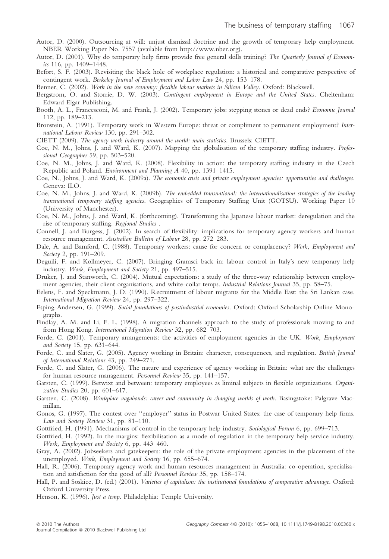- Autor, D. (2000). Outsourcing at will: unjust dismissal doctrine and the growth of temporary help employment. NBER Working Paper No. 7557 (available from http://www.nber.org).
- Autor, D. (2001). Why do temporary help firms provide free general skills training? The Quarterly Journal of Economics 116, pp. 1409–1448.
- Befort, S. F. (2003). Revisiting the black hole of workplace regulation: a historical and comparative perspective of contingent work. Berkeley Journal of Employment and Labor Law 24, pp. 153–178.
- Benner, C. (2002). Work in the new economy: flexible labour markets in Silicon Valley. Oxford: Blackwell.
- Bergstrom, O. and Storrie, D. W. (2003). Contingent employment in Europe and the United States. Cheltenham: Edward Elgar Publishing.
- Booth, A. L., Francesconi, M. and Frank, J. (2002). Temporary jobs: stepping stones or dead ends? Economic Journal 112, pp. 189–213.
- Bronstein, A. (1991). Temporary work in Western Europe: threat or compliment to permanent employment? International Labour Review 130, pp. 291–302.
- CIETT (2009). The agency work industry around the world: main statistics. Brussels: CIETT.
- Coe, N. M., Johns, J. and Ward, K. (2007). Mapping the globalisation of the temporary staffing industry. Professional Geographer 59, pp. 503–520.
- Coe, N. M., Johns, J. and Ward, K. (2008). Flexibility in action: the temporary staffing industry in the Czech Republic and Poland. Environment and Planning A 40, pp. 1391–1415.
- Coe, N., Johns, J. and Ward, K. (2009a). The economic crisis and private employment agencies: opportunities and challenges. Geneva: ILO.
- Coe, N. M., Johns, J. and Ward, K. (2009b). The embedded transnational: the internationalisation strategies of the leading transnational temporary staffing agencies. Geographies of Temporary Staffing Unit (GOTSU). Working Paper 10 (University of Manchester).
- Coe, N. M., Johns, J. and Ward, K. (forthcoming). Transforming the Japanese labour market: deregulation and the rise of temporary staffing. Regional Studies .
- Connell, J. and Burgess, J. (2002). In search of flexibility: implications for temporary agency workers and human resource management. Australian Bulletin of Labour 28, pp. 272–283.
- Dale, A. and Bamford, C. (1988). Temporary workers: cause for concern or complacency? Work, Employment and Society 2, pp. 191-209.
- Deguili, F. and Kollmeyer, C. (2007). Bringing Gramsci back in: labour control in Italy's new temporary help industry. Work, Employment and Society 21, pp. 497–515.
- Druker, J. and Stanworth, C. (2004). Mutual expectations: a study of the three-way relationship between employment agencies, their client organisations, and white-collar temps. Industrial Relations Journal 35, pp. 58–75.
- Eelens, F. and Speckmann, J. D. (1990). Recruitment of labour migrants for the Middle East: the Sri Lankan case. International Migration Review 24, pp. 297–322.
- Esping-Andersen, G. (1999). Social foundations of postindustrial economies. Oxford: Oxford Scholarship Online Monographs.
- Findlay, A. M. and Li, F. L. (1998). A migration channels approach to the study of professionals moving to and from Hong Kong. International Migration Review 32, pp. 682–703.
- Forde, C. (2001). Temporary arrangements: the activities of employment agencies in the UK. Work, Employment and Society 15, pp. 631–644.
- Forde, C. and Slater, G. (2005). Agency working in Britain: character, consequences, and regulation. British Journal of International Relations 43, pp. 249–271.
- Forde, C. and Slater, G. (2006). The nature and experience of agency working in Britain: what are the challenges for human resource management. Personnel Review 35, pp. 141–157.
- Garsten, C. (1999). Betwixt and between: temporary employees as liminal subjects in flexible organizations. Organization Studies 20, pp. 601–617.
- Garsten, C. (2008). Workplace vagabonds: career and community in changing worlds of work. Basingstoke: Palgrave Macmillan.
- Gonos, G. (1997). The contest over ''employer'' status in Postwar United States: the case of temporary help firms. Law and Society Review 31, pp. 81–110.
- Gottfried, H. (1991). Mechanisms of control in the temporary help industry. Sociological Forum 6, pp. 699–713.
- Gottfried, H. (1992). In the margins: flexibilisation as a mode of regulation in the temporary help service industry. Work, Employment and Society 6, pp. 443–460.
- Gray, A. (2002). Jobseekers and gatekeepers: the role of the private employment agencies in the placement of the unemployed. Work, Employment and Society 16, pp. 655–674.
- Hall, R. (2006). Temporary agency work and human resources management in Australia: co-operation, specialisation and satisfaction for the good of all? Personnel Review 35, pp. 158–174.
- Hall, P. and Soskice, D. (ed.) (2001). Varieties of capitalism: the institutional foundations of comparative advantage. Oxford: Oxford University Press.
- Henson, K. (1996). Just a temp. Philadelphia: Temple University.